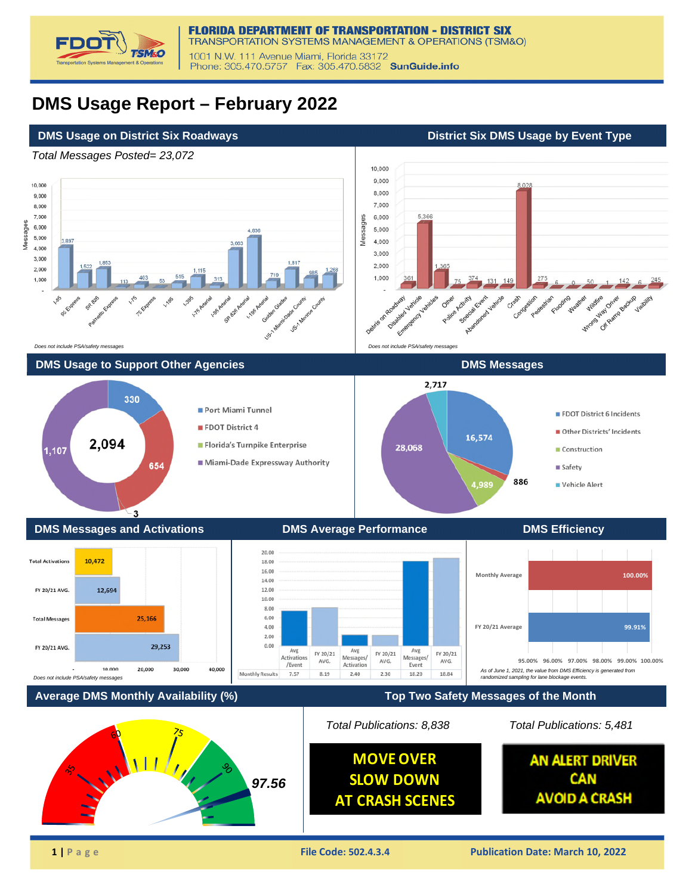

## **DMS Usage Report – February 2022**

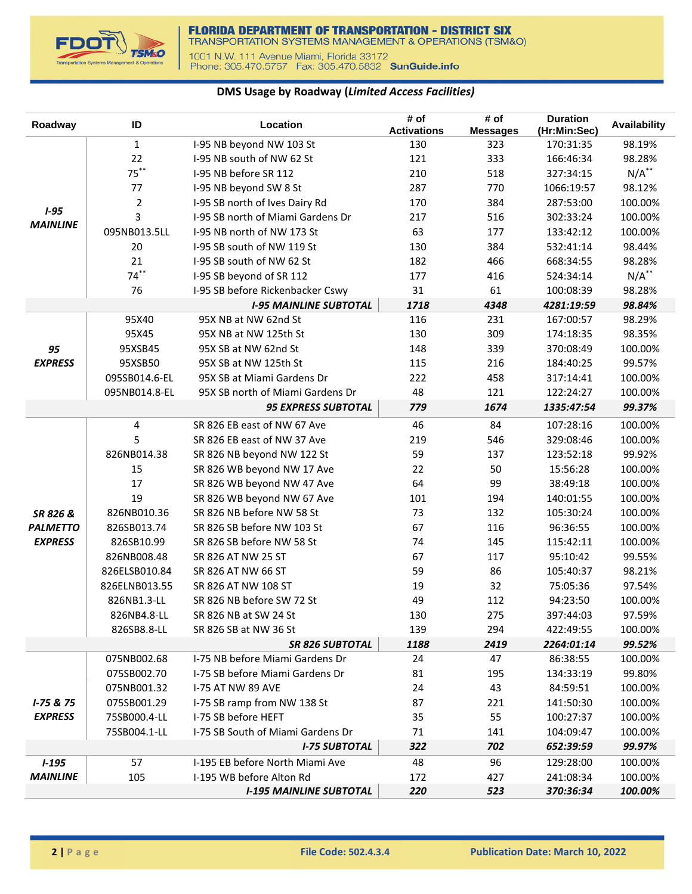

## **DMS Usage by Roadway (***Limited Access Facilities)*

| Roadway         | ID             | Location                          | # of<br><b>Activations</b> | # of<br><b>Messages</b> | <b>Duration</b><br>(Hr:Min:Sec) | <b>Availability</b> |
|-----------------|----------------|-----------------------------------|----------------------------|-------------------------|---------------------------------|---------------------|
|                 | $\mathbf{1}$   | I-95 NB beyond NW 103 St          | 130                        | 323                     | 170:31:35                       | 98.19%              |
|                 | 22             | I-95 NB south of NW 62 St         | 121                        | 333                     | 166:46:34                       | 98.28%              |
|                 | $75***$        | I-95 NB before SR 112             | 210                        | 518                     | 327:34:15                       | $N/A$ **            |
|                 | 77             | I-95 NB beyond SW 8 St            | 287                        | 770                     | 1066:19:57                      | 98.12%              |
|                 | $\overline{2}$ | I-95 SB north of Ives Dairy Rd    | 170                        | 384                     | 287:53:00                       | 100.00%             |
| $1 - 95$        | 3              | I-95 SB north of Miami Gardens Dr | 217                        | 516                     | 302:33:24                       | 100.00%             |
| <b>MAINLINE</b> | 095NB013.5LL   | I-95 NB north of NW 173 St        | 63                         | 177                     | 133:42:12                       | 100.00%             |
|                 | 20             | I-95 SB south of NW 119 St        | 130                        | 384                     | 532:41:14                       | 98.44%              |
|                 | 21             | I-95 SB south of NW 62 St         | 182                        | 466                     | 668:34:55                       | 98.28%              |
|                 | $74***$        | I-95 SB beyond of SR 112          | 177                        | 416                     | 524:34:14                       | $N/A$ **            |
|                 | 76             | I-95 SB before Rickenbacker Cswy  | 31                         | 61                      | 100:08:39                       | 98.28%              |
|                 |                | <b>I-95 MAINLINE SUBTOTAL</b>     | 1718                       | 4348                    | 4281:19:59                      | 98.84%              |
|                 | 95X40          | 95X NB at NW 62nd St              | 116                        | 231                     | 167:00:57                       | 98.29%              |
|                 | 95X45          | 95X NB at NW 125th St             | 130                        | 309                     | 174:18:35                       | 98.35%              |
| 95              | 95XSB45        | 95X SB at NW 62nd St              | 148                        | 339                     | 370:08:49                       | 100.00%             |
| <b>EXPRESS</b>  | 95XSB50        | 95X SB at NW 125th St             | 115                        | 216                     | 184:40:25                       | 99.57%              |
|                 | 095SB014.6-EL  | 95X SB at Miami Gardens Dr        | 222                        | 458                     | 317:14:41                       | 100.00%             |
|                 | 095NB014.8-EL  | 95X SB north of Miami Gardens Dr  | 48                         | 121                     | 122:24:27                       | 100.00%             |
|                 |                | <b>95 EXPRESS SUBTOTAL</b>        | 779                        | 1674                    | 1335:47:54                      | 99.37%              |
|                 | $\overline{4}$ | SR 826 EB east of NW 67 Ave       | 46                         | 84                      | 107:28:16                       | 100.00%             |
|                 | 5              | SR 826 EB east of NW 37 Ave       | 219                        | 546                     | 329:08:46                       | 100.00%             |
|                 | 826NB014.38    | SR 826 NB beyond NW 122 St        | 59                         | 137                     | 123:52:18                       | 99.92%              |
|                 | 15             | SR 826 WB beyond NW 17 Ave        | 22                         | 50                      | 15:56:28                        | 100.00%             |
|                 | 17             | SR 826 WB beyond NW 47 Ave        | 64                         | 99                      | 38:49:18                        | 100.00%             |
|                 | 19             | SR 826 WB beyond NW 67 Ave        | 101                        | 194                     | 140:01:55                       | 100.00%             |
| SR 826 &        | 826NB010.36    | SR 826 NB before NW 58 St         | 73                         | 132                     | 105:30:24                       | 100.00%             |
| <b>PALMETTO</b> | 826SB013.74    | SR 826 SB before NW 103 St        | 67                         | 116                     | 96:36:55                        | 100.00%             |
| <b>EXPRESS</b>  | 826SB10.99     | SR 826 SB before NW 58 St         | 74                         | 145                     | 115:42:11                       | 100.00%             |
|                 | 826NB008.48    | SR 826 AT NW 25 ST                | 67                         | 117                     | 95:10:42                        | 99.55%              |
|                 | 826ELSB010.84  | SR 826 AT NW 66 ST                | 59                         | 86                      | 105:40:37                       | 98.21%              |
|                 | 826ELNB013.55  | SR 826 AT NW 108 ST               | 19                         | 32                      | 75:05:36                        | 97.54%              |
|                 | 826NB1.3-LL    | SR 826 NB before SW 72 St         | 49                         | 112                     | 94:23:50                        | 100.00%             |
|                 | 826NB4.8-LL    | SR 826 NB at SW 24 St             | 130                        | 275                     | 397:44:03                       | 97.59%              |
|                 | 826SB8.8-LL    | SR 826 SB at NW 36 St             | 139                        | 294                     | 422:49:55                       | 100.00%             |
|                 |                | <b>SR 826 SUBTOTAL</b>            | 1188                       | 2419                    | 2264:01:14                      | 99.52%              |
|                 | 075NB002.68    | I-75 NB before Miami Gardens Dr   | 24                         | 47                      | 86:38:55                        | 100.00%             |
|                 | 075SB002.70    | I-75 SB before Miami Gardens Dr   | 81                         | 195                     | 134:33:19                       | 99.80%              |
|                 | 075NB001.32    | <b>I-75 AT NW 89 AVE</b>          | 24                         | 43                      | 84:59:51                        | 100.00%             |
| $I - 75 & 75$   | 075SB001.29    | I-75 SB ramp from NW 138 St       | 87                         | 221                     | 141:50:30                       | 100.00%             |
| <b>EXPRESS</b>  | 75SB000.4-LL   | I-75 SB before HEFT               | 35                         | 55                      | 100:27:37                       | 100.00%             |
|                 | 75SB004.1-LL   | I-75 SB South of Miami Gardens Dr | 71                         | 141                     | 104:09:47                       | 100.00%             |
|                 |                | <b>I-75 SUBTOTAL</b>              | 322                        | 702                     | 652:39:59                       | 99.97%              |
| $1 - 195$       | 57             | I-195 EB before North Miami Ave   | 48                         | 96                      | 129:28:00                       | 100.00%             |
| <b>MAINLINE</b> | 105            | I-195 WB before Alton Rd          | 172                        | 427                     | 241:08:34                       | 100.00%             |
|                 |                | <b>I-195 MAINLINE SUBTOTAL</b>    | 220                        | 523                     | 370:36:34                       | 100.00%             |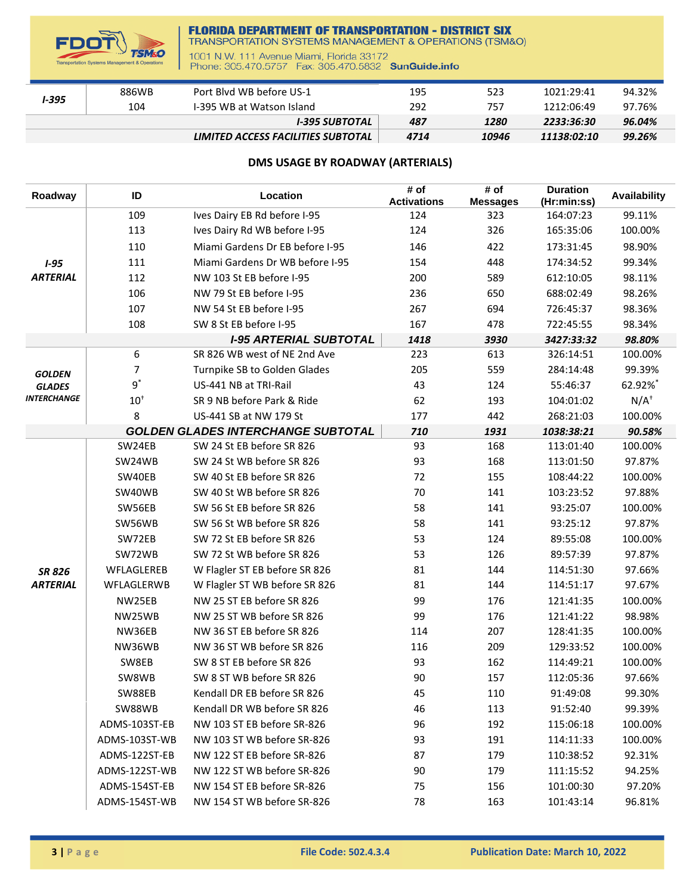

## **FLORIDA DEPARTMENT OF TRANSPORTATION - DISTRICT SIX**<br>TRANSPORTATION SYSTEMS MANAGEMENT & OPERATIONS (TSM&O)

1001 N.W. 111 Avenue Miami, Florida 33172<br>Phone: 305.470.5757 Fax: 305.470.5832 SunGuide.info

| I-395 | 886WB | Port Blyd WB before US-1           | 195  | 523   | 1021:29:41  | 94.32% |
|-------|-------|------------------------------------|------|-------|-------------|--------|
|       | 104   | 1-395 WB at Watson Island          | 292  | 757   | 1212:06:49  | 97.76% |
|       |       | I-395 SUBTOTAL                     | 487  | 1280  | 2233:36:30  | 96.04% |
|       |       | LIMITED ACCESS FACILITIES SUBTOTAL | 4714 | 10946 | 11138:02:10 | 99.26% |

## **DMS USAGE BY ROADWAY (ARTERIALS)**

| Roadway            | ID            | Location                                  | # of<br><b>Activations</b> | # of<br><b>Messages</b> | <b>Duration</b><br>(Hr:min:ss) | <b>Availability</b> |
|--------------------|---------------|-------------------------------------------|----------------------------|-------------------------|--------------------------------|---------------------|
|                    | 109           | Ives Dairy EB Rd before I-95              | 124                        | 323                     | 164:07:23                      | 99.11%              |
|                    | 113           | Ives Dairy Rd WB before I-95              | 124                        | 326                     | 165:35:06                      | 100.00%             |
|                    | 110           | Miami Gardens Dr EB before I-95           | 146                        | 422                     | 173:31:45                      | 98.90%              |
| $1 - 95$           | 111           | Miami Gardens Dr WB before I-95           | 154                        | 448                     | 174:34:52                      | 99.34%              |
| <b>ARTERIAL</b>    | 112           | NW 103 St EB before I-95                  | 200                        | 589                     | 612:10:05                      | 98.11%              |
|                    | 106           | NW 79 St EB before I-95                   | 236                        | 650                     | 688:02:49                      | 98.26%              |
|                    | 107           | NW 54 St EB before I-95                   | 267                        | 694                     | 726:45:37                      | 98.36%              |
|                    | 108           | SW 8 St EB before I-95                    | 167                        | 478                     | 722:45:55                      | 98.34%              |
|                    |               | <b>I-95 ARTERIAL SUBTOTAL</b>             | 1418                       | 3930                    | 3427:33:32                     | 98.80%              |
|                    | 6             | SR 826 WB west of NE 2nd Ave              | 223                        | 613                     | 326:14:51                      | 100.00%             |
| <b>GOLDEN</b>      | 7             | Turnpike SB to Golden Glades              | 205                        | 559                     | 284:14:48                      | 99.39%              |
| <b>GLADES</b>      | $9^*$         | US-441 NB at TRI-Rail                     | 43                         | 124                     | 55:46:37                       | 62.92%*             |
| <b>INTERCHANGE</b> | $10^+$        | SR 9 NB before Park & Ride                | 62                         | 193                     | 104:01:02                      | $N/A^+$             |
|                    | 8             | US-441 SB at NW 179 St                    | 177                        | 442                     | 268:21:03                      | 100.00%             |
|                    |               | <b>GOLDEN GLADES INTERCHANGE SUBTOTAL</b> | 710                        | 1931                    | 1038:38:21                     | 90.58%              |
|                    | SW24EB        | SW 24 St EB before SR 826                 | 93                         | 168                     | 113:01:40                      | 100.00%             |
|                    | SW24WB        | SW 24 St WB before SR 826                 | 93                         | 168                     | 113:01:50                      | 97.87%              |
|                    | SW40EB        | SW 40 St EB before SR 826                 | 72                         | 155                     | 108:44:22                      | 100.00%             |
|                    | SW40WB        | SW 40 St WB before SR 826                 | 70                         | 141                     | 103:23:52                      | 97.88%              |
|                    | SW56EB        | SW 56 St EB before SR 826                 | 58                         | 141                     | 93:25:07                       | 100.00%             |
|                    | SW56WB        | SW 56 St WB before SR 826                 | 58                         | 141                     | 93:25:12                       | 97.87%              |
|                    | SW72EB        | SW 72 St EB before SR 826                 | 53                         | 124                     | 89:55:08                       | 100.00%             |
|                    | SW72WB        | SW 72 St WB before SR 826                 | 53                         | 126                     | 89:57:39                       | 97.87%              |
| <b>SR 826</b>      | WFLAGLEREB    | W Flagler ST EB before SR 826             | 81                         | 144                     | 114:51:30                      | 97.66%              |
| <b>ARTERIAL</b>    | WFLAGLERWB    | W Flagler ST WB before SR 826             | 81                         | 144                     | 114:51:17                      | 97.67%              |
|                    | NW25EB        | NW 25 ST EB before SR 826                 | 99                         | 176                     | 121:41:35                      | 100.00%             |
|                    | NW25WB        | NW 25 ST WB before SR 826                 | 99                         | 176                     | 121:41:22                      | 98.98%              |
|                    | NW36EB        | NW 36 ST EB before SR 826                 | 114                        | 207                     | 128:41:35                      | 100.00%             |
|                    | NW36WB        | NW 36 ST WB before SR 826                 | 116                        | 209                     | 129:33:52                      | 100.00%             |
|                    | SW8EB         | SW 8 ST EB before SR 826                  | 93                         | 162                     | 114:49:21                      | 100.00%             |
|                    | SW8WB         | SW 8 ST WB before SR 826                  | 90                         | 157                     | 112:05:36                      | 97.66%              |
|                    | SW88EB        | Kendall DR EB before SR 826               | 45                         | 110                     | 91:49:08                       | 99.30%              |
|                    | SW88WB        | Kendall DR WB before SR 826               | 46                         | 113                     | 91:52:40                       | 99.39%              |
|                    | ADMS-103ST-EB | NW 103 ST EB before SR-826                | 96                         | 192                     | 115:06:18                      | 100.00%             |
|                    | ADMS-103ST-WB | NW 103 ST WB before SR-826                | 93                         | 191                     | 114:11:33                      | 100.00%             |
|                    | ADMS-122ST-EB | NW 122 ST EB before SR-826                | 87                         | 179                     | 110:38:52                      | 92.31%              |
|                    | ADMS-122ST-WB | NW 122 ST WB before SR-826                | 90                         | 179                     | 111:15:52                      | 94.25%              |
|                    | ADMS-154ST-EB | NW 154 ST EB before SR-826                | 75                         | 156                     | 101:00:30                      | 97.20%              |
|                    | ADMS-154ST-WB | NW 154 ST WB before SR-826                | 78                         | 163                     | 101:43:14                      | 96.81%              |